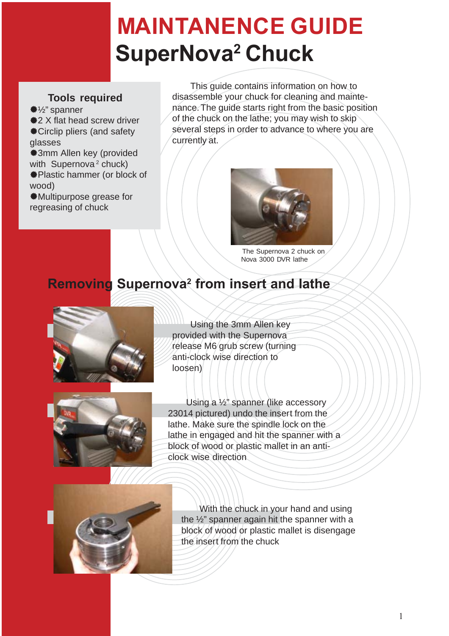# **MAINTANENCE GUIDE SuperNova2 Chuck**

#### **Tools required**

½" spanner  $\frac{1}{2}$  **2 X flat head screw driver** Circlip pliers (and safety glasses 3mm Allen key (provided

with Supernova<sup>2</sup> chuck) Plastic hammer (or block of wood)

Multipurpose grease for regreasing of chuck

This guide contains information on how to disassemble your chuck for cleaning and maintenance. The guide starts right from the basic position of the chuck on the lathe; you may wish to skip several steps in order to advance to where you are currently at.



The Supernova 2 chuck on Nova 3000 DVR lathe

### **Removing Supernova2 from insert and lathe**



Using the 3mm Allen key provided with the Supernova release M6 grub screw (turning anti-clock wise direction to loosen)



Using a ½" spanner (like accessory 23014 pictured) undo the insert from the lathe. Make sure the spindle lock on the lathe in engaged and hit the spanner with a block of wood or plastic mallet in an anticlock wise direction



With the chuck in your hand and using the ½" spanner again hit the spanner with a block of wood or plastic mallet is disengage the insert from the chuck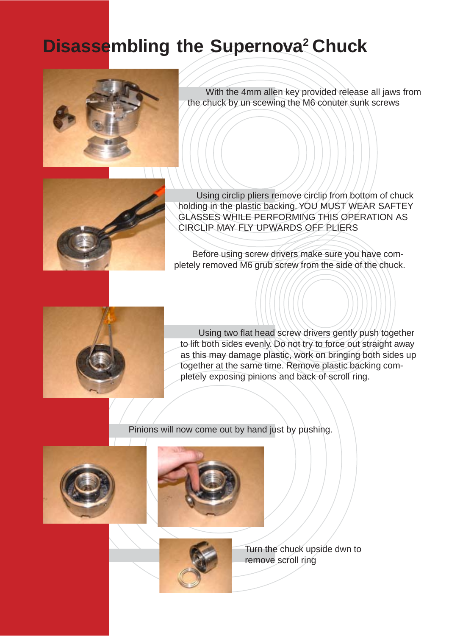# **Disassembling the Supernova<sup>2</sup> Chuck**



With the 4mm allen key provided release all jaws from the chuck by un scewing the M6 conuter sunk screws



Using circlip pliers remove circlip from bottom of chuck holding in the plastic backing. YOU MUST WEAR SAFTEY GLASSES WHILE PERFORMING THIS OPERATION AS CIRCLIP MAY FLY UPWARDS OFF PLIERS

Before using screw drivers make sure you have completely removed M6 grub screw from the side of the chuck.



Using two flat head screw drivers gently push together to lift both sides evenly. Do not try to force out straight away as this may damage plastic, work on bringing both sides up together at the same time. Remove plastic backing completely exposing pinions and back of scroll ring.

Pinions will now come out by hand just by pushing.







Turn the chuck upside dwn to remove scroll ring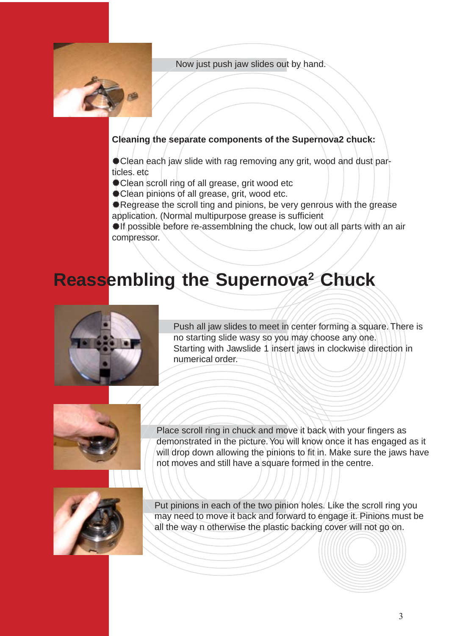Now just push jaw slides out by hand.



#### **Cleaning the separate components of the Supernova2 chuck:**

Clean each jaw slide with rag removing any grit, wood and dust particles. etc

- Clean scroll ring of all grease, grit wood etc
- $#$  **Clean pinions of all grease, grit, wood etc.**
- **\*Regrease the scroll ting and pinions, be very genrous with the grease** application. (Normal multipurpose grease is sufficient

**. If possible before re-assemblning the chuck, low out all parts/with an air** compressor.

## **Reassembling the Supernova<sup>2</sup> Chuck**



Push all jaw slides to meet in center forming a square. There is no starting slide wasy so you may choose any one. Starting with Jawslide 1 insert jaws in clockwise direction in numerical order.



Place scroll ring in chuck and move it back with your fingers as demonstrated in the picture. You will know once it has engaged as it will drop down allowing the pinions to fit in. Make sure the jaws have not moves and still have a square formed in the centre.



Put pinions in each of the two pinion holes. Like the scroll ring you may need to move it back and forward to engage it. Pinions must be all the way n otherwise the plastic backing cover will not go on.